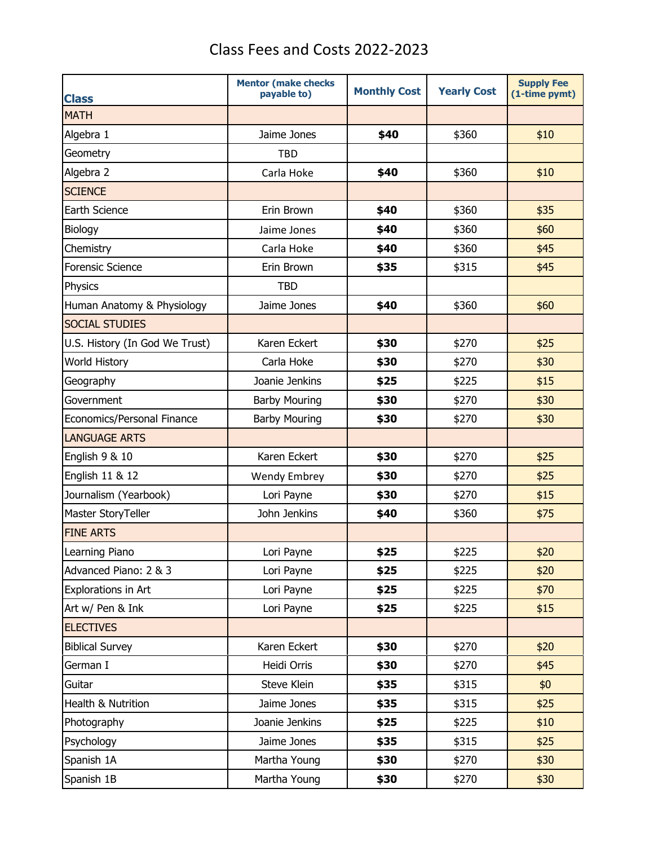## Class Fees and Costs 2022-2023

| <b>Class</b>                   | <b>Mentor (make checks</b><br>payable to) | <b>Monthly Cost</b> | <b>Yearly Cost</b> | <b>Supply Fee</b><br>(1-time pymt) |
|--------------------------------|-------------------------------------------|---------------------|--------------------|------------------------------------|
| <b>MATH</b>                    |                                           |                     |                    |                                    |
| Algebra 1                      | Jaime Jones                               | \$40                | \$360              | \$10                               |
| Geometry                       | <b>TBD</b>                                |                     |                    |                                    |
| Algebra 2                      | Carla Hoke                                | \$40                | \$360              | \$10                               |
| <b>SCIENCE</b>                 |                                           |                     |                    |                                    |
| Earth Science                  | Erin Brown                                | \$40                | \$360              | \$35                               |
| Biology                        | Jaime Jones                               | \$40                | \$360              | \$60                               |
| Chemistry                      | Carla Hoke                                | \$40                | \$360              | \$45                               |
| <b>Forensic Science</b>        | Erin Brown                                | \$35                | \$315              | \$45                               |
| Physics                        | <b>TBD</b>                                |                     |                    |                                    |
| Human Anatomy & Physiology     | Jaime Jones                               | \$40                | \$360              | \$60                               |
| <b>SOCIAL STUDIES</b>          |                                           |                     |                    |                                    |
| U.S. History (In God We Trust) | Karen Eckert                              | \$30                | \$270              | \$25                               |
| <b>World History</b>           | Carla Hoke                                | \$30                | \$270              | \$30                               |
| Geography                      | Joanie Jenkins                            | \$25                | \$225              | \$15                               |
| Government                     | <b>Barby Mouring</b>                      | \$30                | \$270              | \$30                               |
| Economics/Personal Finance     | <b>Barby Mouring</b>                      | \$30                | \$270              | \$30                               |
| <b>LANGUAGE ARTS</b>           |                                           |                     |                    |                                    |
| English 9 & 10                 | Karen Eckert                              | \$30                | \$270              | \$25                               |
| English 11 & 12                | <b>Wendy Embrey</b>                       | \$30                | \$270              | \$25                               |
| Journalism (Yearbook)          | Lori Payne                                | \$30                | \$270              | \$15                               |
| Master StoryTeller             | John Jenkins                              | \$40                | \$360              | \$75                               |
| <b>FINE ARTS</b>               |                                           |                     |                    |                                    |
| Learning Piano                 | Lori Payne                                | \$25                | \$225              | \$20                               |
| Advanced Piano: 2 & 3          | Lori Payne                                | \$25                | \$225              | \$20                               |
| Explorations in Art            | Lori Payne                                | \$25                | \$225              | \$70                               |
| Art w/ Pen & Ink               | Lori Payne                                | \$25                | \$225              | \$15                               |
| <b>ELECTIVES</b>               |                                           |                     |                    |                                    |
| <b>Biblical Survey</b>         | Karen Eckert                              | \$30                | \$270              | \$20                               |
| German I                       | Heidi Orris                               | \$30                | \$270              | \$45                               |
| Guitar                         | Steve Klein                               | \$35                | \$315              | \$0\$                              |
| Health & Nutrition             | Jaime Jones                               | \$35                | \$315              | \$25                               |
| Photography                    | Joanie Jenkins                            | \$25                | \$225              | \$10                               |
| Psychology                     | Jaime Jones                               | \$35                | \$315              | \$25                               |
| Spanish 1A                     | Martha Young                              | \$30                | \$270              | \$30                               |
| Spanish 1B                     | Martha Young                              | \$30                | \$270              | \$30                               |